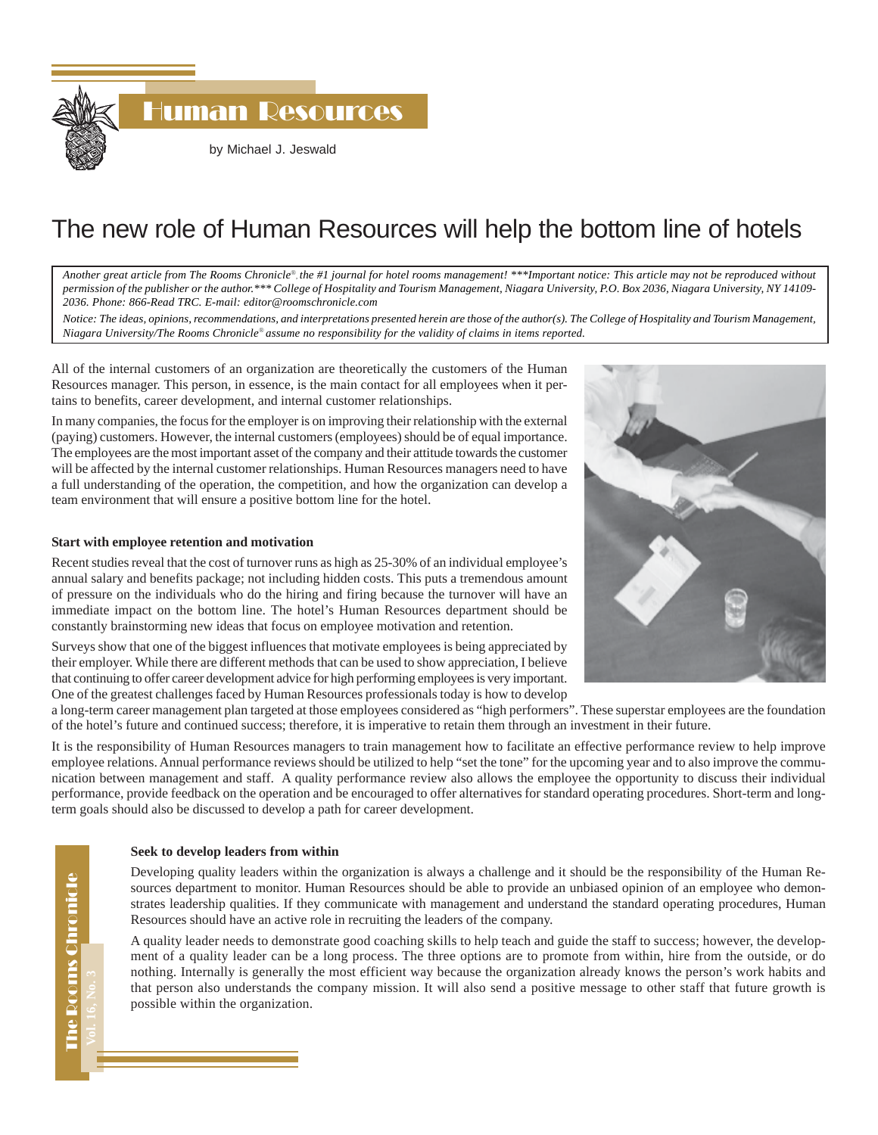Human Resources by Michael J. Jeswald

# The new role of Human Resources will help the bottom line of hotels

*Another great article from The Rooms Chronicle*®*, the #1 journal for hotel rooms management! \*\*\*Important notice: This article may not be reproduced without permission of the publisher or the author.\*\*\* College of Hospitality and Tourism Management, Niagara University, P.O. Box 2036, Niagara University, NY 14109- 2036. Phone: 866-Read TRC. E-mail: editor@roomschronicle.com*

*Notice: The ideas, opinions, recommendations, and interpretations presented herein are those of the author(s). The College of Hospitality and Tourism Management, Niagara University/The Rooms Chronicle*® *assume no responsibility for the validity of claims in items reported.*

All of the internal customers of an organization are theoretically the customers of the Human Resources manager. This person, in essence, is the main contact for all employees when it pertains to benefits, career development, and internal customer relationships.

In many companies, the focus for the employer is on improving their relationship with the external (paying) customers. However, the internal customers (employees) should be of equal importance. The employees are the most important asset of the company and their attitude towards the customer will be affected by the internal customer relationships. Human Resources managers need to have a full understanding of the operation, the competition, and how the organization can develop a team environment that will ensure a positive bottom line for the hotel.

### **Start with employee retention and motivation**

Recent studies reveal that the cost of turnover runs as high as 25-30% of an individual employee's annual salary and benefits package; not including hidden costs. This puts a tremendous amount of pressure on the individuals who do the hiring and firing because the turnover will have an immediate impact on the bottom line. The hotel's Human Resources department should be constantly brainstorming new ideas that focus on employee motivation and retention.

Surveys show that one of the biggest influences that motivate employees is being appreciated by their employer. While there are different methods that can be used to show appreciation, I believe that continuing to offer career development advice for high performing employees is very important. One of the greatest challenges faced by Human Resources professionals today is how to develop

a long-term career management plan targeted at those employees considered as "high performers". These superstar employees are the foundation of the hotel's future and continued success; therefore, it is imperative to retain them through an investment in their future.

It is the responsibility of Human Resources managers to train management how to facilitate an effective performance review to help improve employee relations. Annual performance reviews should be utilized to help "set the tone" for the upcoming year and to also improve the communication between management and staff. A quality performance review also allows the employee the opportunity to discuss their individual performance, provide feedback on the operation and be encouraged to offer alternatives for standard operating procedures. Short-term and longterm goals should also be discussed to develop a path for career development.

#### **Seek to develop leaders from within**

Developing quality leaders within the organization is always a challenge and it should be the responsibility of the Human Resources department to monitor. Human Resources should be able to provide an unbiased opinion of an employee who demonstrates leadership qualities. If they communicate with management and understand the standard operating procedures, Human Resources should have an active role in recruiting the leaders of the company.

A quality leader needs to demonstrate good coaching skills to help teach and guide the staff to success; however, the development of a quality leader can be a long process. The three options are to promote from within, hire from the outside, or do nothing. Internally is generally the most efficient way because the organization already knows the person's work habits and that person also understands the company mission. It will also send a positive message to other staff that future growth is possible within the organization.